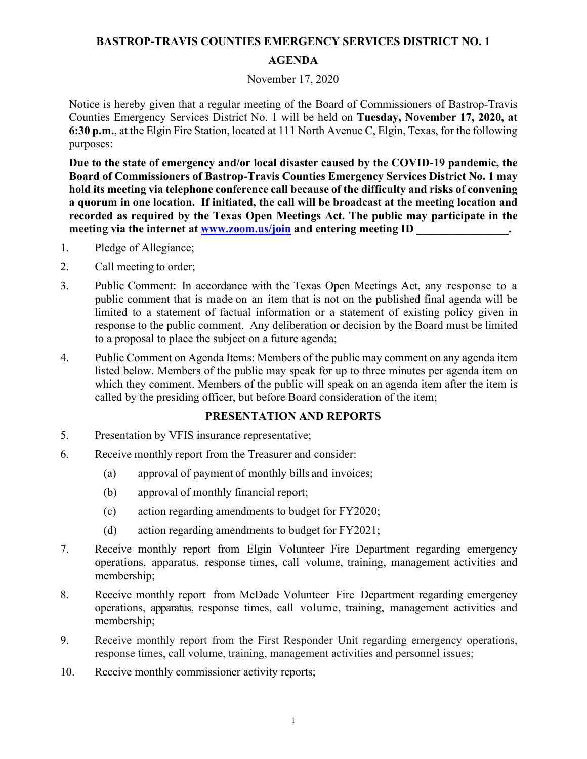# **BASTROP-TRAVIS COUNTIES EMERGENCY SERVICES DISTRICT NO. 1 AGENDA**

### November 17, 2020

Notice is hereby given that a regular meeting of the Board of Commissioners of Bastrop-Travis Counties Emergency Services District No. 1 will be held on **Tuesday, November 17, 2020, at 6:30 p.m.**, at the Elgin Fire Station, located at 111 North Avenue C, Elgin, Texas, for the following purposes:

**Due to the state of emergency and/or local disaster caused by the COVID-19 pandemic, the Board of Commissioners of Bastrop-Travis Counties Emergency Services District No. 1 may hold its meeting via telephone conference call because of the difficulty and risks of convening a quorum in one location. If initiated, the call will be broadcast at the meeting location and recorded as required by the Texas Open Meetings Act. The public may participate in the**  meeting via the internet at **www.zoom.us/join** and entering meeting ID

- 1. Pledge of Allegiance;
- 2. Call meeting to order;
- 3. Public Comment: In accordance with the Texas Open Meetings Act, any response to a public comment that is made on an item that is not on the published final agenda will be limited to a statement of factual information or a statement of existing policy given in response to the public comment. Any deliberation or decision by the Board must be limited to a proposal to place the subject on a future agenda;
- 4. Public Comment on Agenda Items: Members of the public may comment on any agenda item listed below. Members of the public may speak for up to three minutes per agenda item on which they comment. Members of the public will speak on an agenda item after the item is called by the presiding officer, but before Board consideration of the item;

# **PRESENTATION AND REPORTS**

- 5. Presentation by VFIS insurance representative;
- 6. Receive monthly report from the Treasurer and consider:
	- (a) approval of payment of monthly bills and invoices;
	- (b) approval of monthly financial report;
	- (c) action regarding amendments to budget for FY2020;
	- (d) action regarding amendments to budget for FY2021;
- 7. Receive monthly report from Elgin Volunteer Fire Department regarding emergency operations, apparatus, response times, call volume, training, management activities and membership;
- 8. Receive monthly report from McDade Volunteer Fire Department regarding emergency operations, apparatus, response times, call volume, training, management activities and membership;
- 9. Receive monthly report from the First Responder Unit regarding emergency operations, response times, call volume, training, management activities and personnel issues;
- 10. Receive monthly commissioner activity reports;